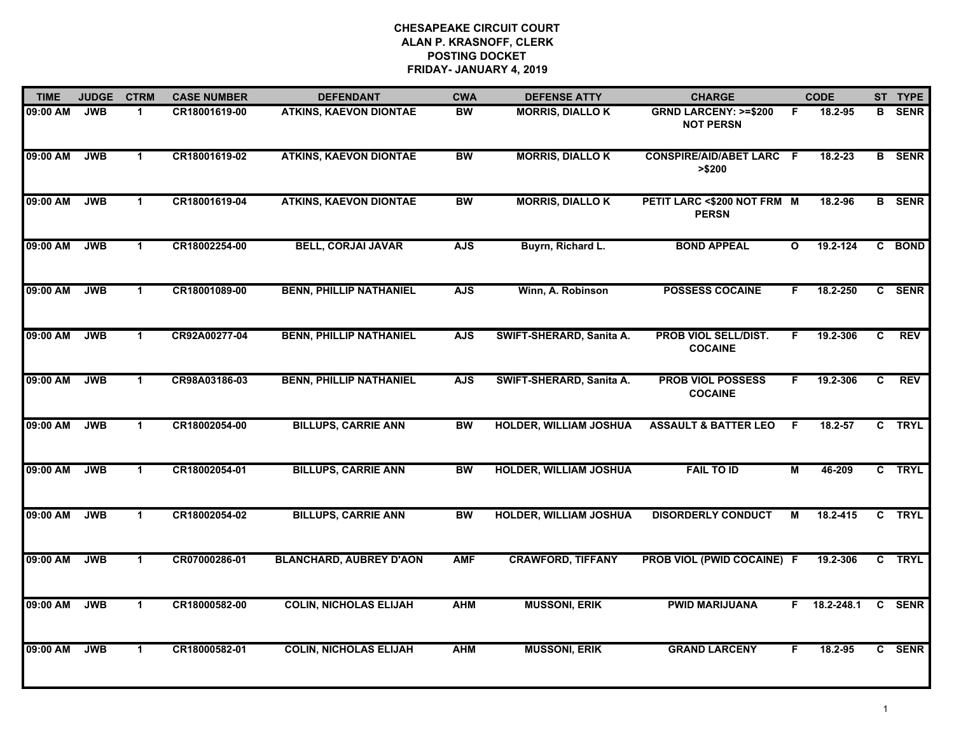| <b>TIME</b> | <b>JUDGE</b> | <b>CTRM</b>          | <b>CASE NUMBER</b> | <b>DEFENDANT</b>               | <b>CWA</b> | <b>DEFENSE ATTY</b>           | <b>CHARGE</b>                                       |              | <b>CODE</b>  |                | ST TYPE       |
|-------------|--------------|----------------------|--------------------|--------------------------------|------------|-------------------------------|-----------------------------------------------------|--------------|--------------|----------------|---------------|
| 09:00 AM    | <b>JWB</b>   | 1                    | CR18001619-00      | <b>ATKINS, KAEVON DIONTAE</b>  | <b>BW</b>  | <b>MORRIS, DIALLO K</b>       | <b>GRND LARCENY: &gt;=\$200</b><br><b>NOT PERSN</b> | F            | 18.2-95      | В              | <b>SENR</b>   |
| 09:00 AM    | <b>JWB</b>   | $\mathbf{1}$         | CR18001619-02      | <b>ATKINS, KAEVON DIONTAE</b>  | <b>BW</b>  | <b>MORRIS, DIALLO K</b>       | <b>CONSPIRE/AID/ABET LARC F</b><br>>\$200           |              | 18.2-23      |                | <b>B</b> SENR |
| 09:00 AM    | <b>JWB</b>   | $\mathbf 1$          | CR18001619-04      | <b>ATKINS, KAEVON DIONTAE</b>  | <b>BW</b>  | <b>MORRIS, DIALLO K</b>       | PETIT LARC <\$200 NOT FRM M<br><b>PERSN</b>         |              | 18.2-96      |                | <b>B</b> SENR |
| 09:00 AM    | <b>JWB</b>   | $\blacktriangleleft$ | CR18002254-00      | <b>BELL, CORJAI JAVAR</b>      | <b>AJS</b> | Buyrn, Richard L.             | <b>BOND APPEAL</b>                                  | $\mathbf{o}$ | $19.2 - 124$ |                | C BOND        |
| 09:00 AM    | <b>JWB</b>   | $\mathbf{1}$         | CR18001089-00      | <b>BENN, PHILLIP NATHANIEL</b> | <b>AJS</b> | Winn, A. Robinson             | <b>POSSESS COCAINE</b>                              | F.           | 18.2-250     |                | C SENR        |
| 09:00 AM    | <b>JWB</b>   | $\mathbf 1$          | CR92A00277-04      | <b>BENN, PHILLIP NATHANIEL</b> | <b>AJS</b> | SWIFT-SHERARD, Sanita A.      | <b>PROB VIOL SELL/DIST.</b><br><b>COCAINE</b>       | F.           | 19.2-306     | C.             | <b>REV</b>    |
| 09:00 AM    | <b>JWB</b>   | $\blacktriangleleft$ | CR98A03186-03      | <b>BENN, PHILLIP NATHANIEL</b> | <b>AJS</b> | SWIFT-SHERARD, Sanita A.      | <b>PROB VIOL POSSESS</b><br><b>COCAINE</b>          | F.           | 19.2-306     | $\overline{c}$ | <b>REV</b>    |
| 09:00 AM    | <b>JWB</b>   | $\mathbf 1$          | CR18002054-00      | <b>BILLUPS, CARRIE ANN</b>     | <b>BW</b>  | <b>HOLDER, WILLIAM JOSHUA</b> | <b>ASSAULT &amp; BATTER LEO</b>                     | F            | 18.2-57      |                | C TRYL        |
| 09:00 AM    | <b>JWB</b>   | $\blacktriangleleft$ | CR18002054-01      | <b>BILLUPS, CARRIE ANN</b>     | BW         | <b>HOLDER, WILLIAM JOSHUA</b> | <b>FAIL TO ID</b>                                   | М            | 46-209       |                | C TRYL        |
| 09:00 AM    | <b>JWB</b>   | $\mathbf{1}$         | CR18002054-02      | <b>BILLUPS, CARRIE ANN</b>     | <b>BW</b>  | <b>HOLDER, WILLIAM JOSHUA</b> | <b>DISORDERLY CONDUCT</b>                           | М            | 18.2-415     |                | C TRYL        |
| 09:00 AM    | <b>JWB</b>   | $\mathbf{1}$         | CR07000286-01      | <b>BLANCHARD, AUBREY D'AON</b> | <b>AMF</b> | <b>CRAWFORD, TIFFANY</b>      | PROB VIOL (PWID COCAINE) F                          |              | 19.2-306     | C              | <b>TRYL</b>   |
| 09:00 AM    | <b>JWB</b>   | $\blacktriangleleft$ | CR18000582-00      | <b>COLIN, NICHOLAS ELIJAH</b>  | <b>AHM</b> | <b>MUSSONI, ERIK</b>          | <b>PWID MARIJUANA</b>                               | F.           | 18.2-248.1   |                | C SENR        |
| 09:00 AM    | <b>JWB</b>   | $\blacktriangleleft$ | CR18000582-01      | <b>COLIN, NICHOLAS ELIJAH</b>  | <b>AHM</b> | <b>MUSSONI, ERIK</b>          | <b>GRAND LARCENY</b>                                | F            | 18.2-95      |                | C SENR        |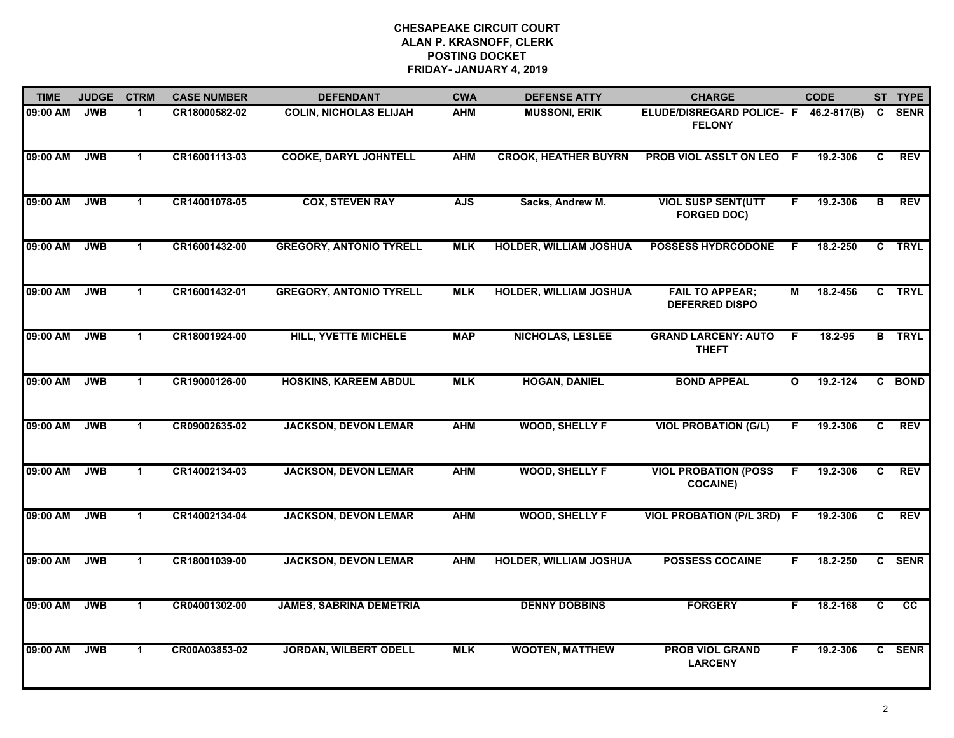| <b>TIME</b> | <b>JUDGE</b> | <b>CTRM</b>          | <b>CASE NUMBER</b> | <b>DEFENDANT</b>               | <b>CWA</b> | <b>DEFENSE ATTY</b>           | <b>CHARGE</b>                                   |              | <b>CODE</b>  |                | ST TYPE         |
|-------------|--------------|----------------------|--------------------|--------------------------------|------------|-------------------------------|-------------------------------------------------|--------------|--------------|----------------|-----------------|
| 09:00 AM    | <b>JWB</b>   | 1                    | CR18000582-02      | <b>COLIN, NICHOLAS ELIJAH</b>  | <b>AHM</b> | <b>MUSSONI, ERIK</b>          | ELUDE/DISREGARD POLICE- F<br><b>FELONY</b>      |              | 46.2-817(B)  | $\mathbf{c}$   | <b>SENR</b>     |
| 09:00 AM    | <b>JWB</b>   | $\mathbf{1}$         | CR16001113-03      | <b>COOKE, DARYL JOHNTELL</b>   | <b>AHM</b> | <b>CROOK, HEATHER BUYRN</b>   | PROB VIOL ASSLT ON LEO F                        |              | 19.2-306     | C              | <b>REV</b>      |
| 09:00 AM    | <b>JWB</b>   | $\mathbf 1$          | CR14001078-05      | <b>COX, STEVEN RAY</b>         | <b>AJS</b> | Sacks, Andrew M.              | <b>VIOL SUSP SENT(UTT</b><br><b>FORGED DOC)</b> | F            | 19.2-306     | $\overline{B}$ | <b>REV</b>      |
| 09:00 AM    | <b>JWB</b>   | $\blacktriangleleft$ | CR16001432-00      | <b>GREGORY, ANTONIO TYRELL</b> | <b>MLK</b> | <b>HOLDER, WILLIAM JOSHUA</b> | <b>POSSESS HYDRCODONE</b>                       | F.           | 18.2-250     | $\mathbf{c}$   | <b>TRYL</b>     |
| 09:00 AM    | <b>JWB</b>   | $\mathbf{1}$         | CR16001432-01      | <b>GREGORY, ANTONIO TYRELL</b> | <b>MLK</b> | <b>HOLDER, WILLIAM JOSHUA</b> | <b>FAIL TO APPEAR;</b><br><b>DEFERRED DISPO</b> | Μ            | $18.2 - 456$ |                | C TRYL          |
| 09:00 AM    | <b>JWB</b>   | $\mathbf{1}$         | CR18001924-00      | <b>HILL, YVETTE MICHELE</b>    | <b>MAP</b> | <b>NICHOLAS, LESLEE</b>       | <b>GRAND LARCENY: AUTO</b><br><b>THEFT</b>      | -F           | 18.2-95      |                | <b>B</b> TRYL   |
| 09:00 AM    | <b>JWB</b>   | $\mathbf{1}$         | CR19000126-00      | <b>HOSKINS, KAREEM ABDUL</b>   | <b>MLK</b> | <b>HOGAN, DANIEL</b>          | <b>BOND APPEAL</b>                              | $\mathbf{o}$ | 19.2-124     |                | C BOND          |
| 09:00 AM    | <b>JWB</b>   | $\mathbf 1$          | CR09002635-02      | <b>JACKSON, DEVON LEMAR</b>    | <b>AHM</b> | <b>WOOD, SHELLY F</b>         | <b>VIOL PROBATION (G/L)</b>                     |              | 19.2-306     | C              | <b>REV</b>      |
| 09:00 AM    | <b>JWB</b>   | $\mathbf 1$          | CR14002134-03      | <b>JACKSON, DEVON LEMAR</b>    | <b>AHM</b> | <b>WOOD, SHELLY F</b>         | <b>VIOL PROBATION (POSS</b><br><b>COCAINE)</b>  | F            | 19.2-306     | C              | <b>REV</b>      |
| 09:00 AM    | <b>JWB</b>   | $\mathbf{1}$         | CR14002134-04      | <b>JACKSON, DEVON LEMAR</b>    | <b>AHM</b> | <b>WOOD, SHELLY F</b>         | <b>VIOL PROBATION (P/L 3RD)</b>                 | -F           | 19.2-306     | C              | <b>REV</b>      |
| 09:00 AM    | <b>JWB</b>   | $\mathbf 1$          | CR18001039-00      | <b>JACKSON, DEVON LEMAR</b>    | <b>AHM</b> | <b>HOLDER, WILLIAM JOSHUA</b> | <b>POSSESS COCAINE</b>                          | F.           | 18.2-250     |                | C SENR          |
| 09:00 AM    | <b>JWB</b>   | $\mathbf{1}$         | CR04001302-00      | <b>JAMES, SABRINA DEMETRIA</b> |            | <b>DENNY DOBBINS</b>          | <b>FORGERY</b>                                  | F.           | 18.2-168     | $\overline{c}$ | $\overline{cc}$ |
| 09:00 AM    | <b>JWB</b>   | $\mathbf{1}$         | CR00A03853-02      | <b>JORDAN, WILBERT ODELL</b>   | <b>MLK</b> | <b>WOOTEN, MATTHEW</b>        | <b>PROB VIOL GRAND</b><br><b>LARCENY</b>        | F            | 19.2-306     |                | C SENR          |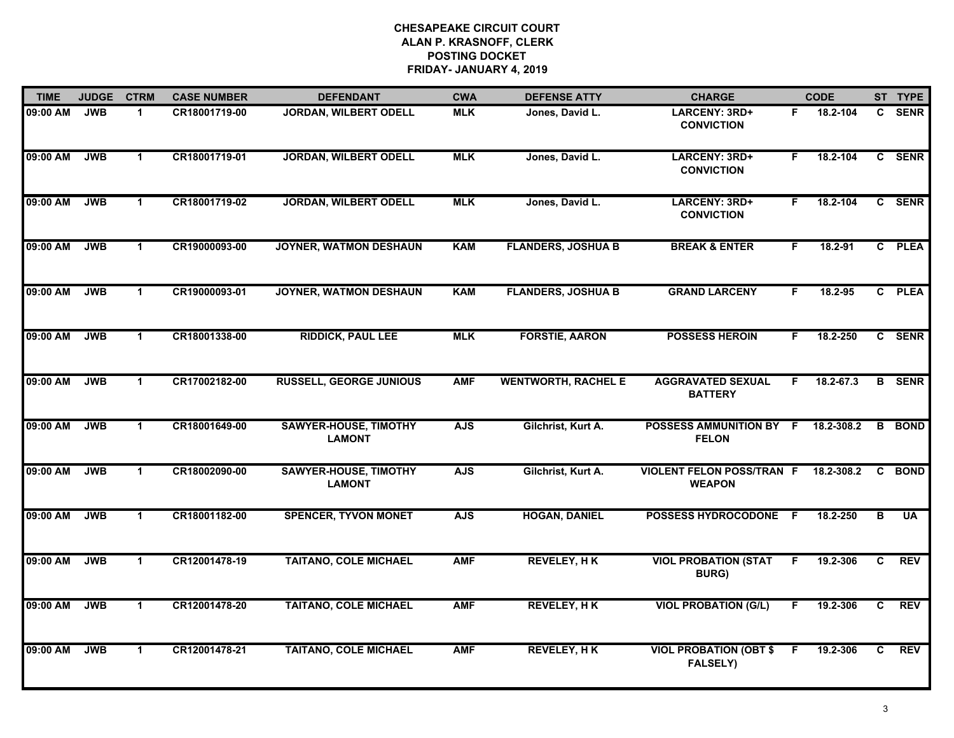| <b>TIME</b> | <b>JUDGE</b> | <b>CTRM</b>    | <b>CASE NUMBER</b> | <b>DEFENDANT</b>                              | <b>CWA</b> | <b>DEFENSE ATTY</b>        | <b>CHARGE</b>                                     |     | <b>CODE</b> |    | ST TYPE       |
|-------------|--------------|----------------|--------------------|-----------------------------------------------|------------|----------------------------|---------------------------------------------------|-----|-------------|----|---------------|
| 09:00 AM    | <b>JWB</b>   | $\mathbf 1$    | CR18001719-00      | <b>JORDAN, WILBERT ODELL</b>                  | <b>MLK</b> | Jones, David L.            | LARCENY: 3RD+<br><b>CONVICTION</b>                | F.  | 18.2-104    |    | C SENR        |
| 09:00 AM    | <b>JWB</b>   | $\mathbf{1}$   | CR18001719-01      | <b>JORDAN, WILBERT ODELL</b>                  | <b>MLK</b> | Jones, David L.            | LARCENY: 3RD+<br><b>CONVICTION</b>                | F.  | 18.2-104    |    | C SENR        |
| 09:00 AM    | <b>JWB</b>   | $\mathbf{1}$   | CR18001719-02      | <b>JORDAN, WILBERT ODELL</b>                  | <b>MLK</b> | Jones, David L.            | LARCENY: 3RD+<br><b>CONVICTION</b>                | F.  | 18.2-104    |    | C SENR        |
| 09:00 AM    | <b>JWB</b>   | $\mathbf{1}$   | CR19000093-00      | JOYNER, WATMON DESHAUN                        | <b>KAM</b> | <b>FLANDERS, JOSHUA B</b>  | <b>BREAK &amp; ENTER</b>                          | F.  | 18.2-91     |    | C PLEA        |
| 09:00 AM    | <b>JWB</b>   | $\mathbf{1}$   | CR19000093-01      | <b>JOYNER, WATMON DESHAUN</b>                 | <b>KAM</b> | <b>FLANDERS, JOSHUA B</b>  | <b>GRAND LARCENY</b>                              | F.  | 18.2-95     |    | C PLEA        |
| 09:00 AM    | <b>JWB</b>   | $\mathbf{1}$   | CR18001338-00      | <b>RIDDICK, PAUL LEE</b>                      | <b>MLK</b> | <b>FORSTIE, AARON</b>      | <b>POSSESS HEROIN</b>                             | F.  | 18.2-250    |    | C SENR        |
| 09:00 AM    | <b>JWB</b>   | $\mathbf{1}$   | CR17002182-00      | <b>RUSSELL, GEORGE JUNIOUS</b>                | <b>AMF</b> | <b>WENTWORTH, RACHEL E</b> | <b>AGGRAVATED SEXUAL</b><br><b>BATTERY</b>        | F.  | 18.2-67.3   |    | <b>B</b> SENR |
| 09:00 AM    | <b>JWB</b>   | $\mathbf{1}$   | CR18001649-00      | <b>SAWYER-HOUSE, TIMOTHY</b><br><b>LAMONT</b> | <b>AJS</b> | Gilchrist, Kurt A.         | POSSESS AMMUNITION BY F<br><b>FELON</b>           |     | 18.2-308.2  |    | <b>B</b> BOND |
| 09:00 AM    | <b>JWB</b>   | $\mathbf 1$    | CR18002090-00      | <b>SAWYER-HOUSE, TIMOTHY</b><br><b>LAMONT</b> | <b>AJS</b> | Gilchrist, Kurt A.         | <b>VIOLENT FELON POSS/TRAN F</b><br><b>WEAPON</b> |     | 18.2-308.2  | C. | <b>BOND</b>   |
| 09:00 AM    | <b>JWB</b>   | $\mathbf{1}$   | CR18001182-00      | <b>SPENCER, TYVON MONET</b>                   | <b>AJS</b> | <b>HOGAN, DANIEL</b>       | <b>POSSESS HYDROCODONE</b>                        | - F | 18.2-250    | B  | <b>UA</b>     |
| 09:00 AM    | <b>JWB</b>   | $\mathbf{1}$   | CR12001478-19      | <b>TAITANO, COLE MICHAEL</b>                  | <b>AMF</b> | <b>REVELEY, HK</b>         | <b>VIOL PROBATION (STAT</b><br><b>BURG</b> )      | F.  | 19.2-306    | C  | <b>REV</b>    |
| 09:00 AM    | <b>JWB</b>   | $\overline{1}$ | CR12001478-20      | <b>TAITANO, COLE MICHAEL</b>                  | <b>AMF</b> | <b>REVELEY, HK</b>         | <b>VIOL PROBATION (G/L)</b>                       | F   | 19.2-306    | C  | <b>REV</b>    |
| 09:00 AM    | <b>JWB</b>   | $\mathbf{1}$   | CR12001478-21      | <b>TAITANO, COLE MICHAEL</b>                  | <b>AMF</b> | <b>REVELEY, HK</b>         | <b>VIOL PROBATION (OBT \$</b><br><b>FALSELY)</b>  | F.  | 19.2-306    | C  | <b>REV</b>    |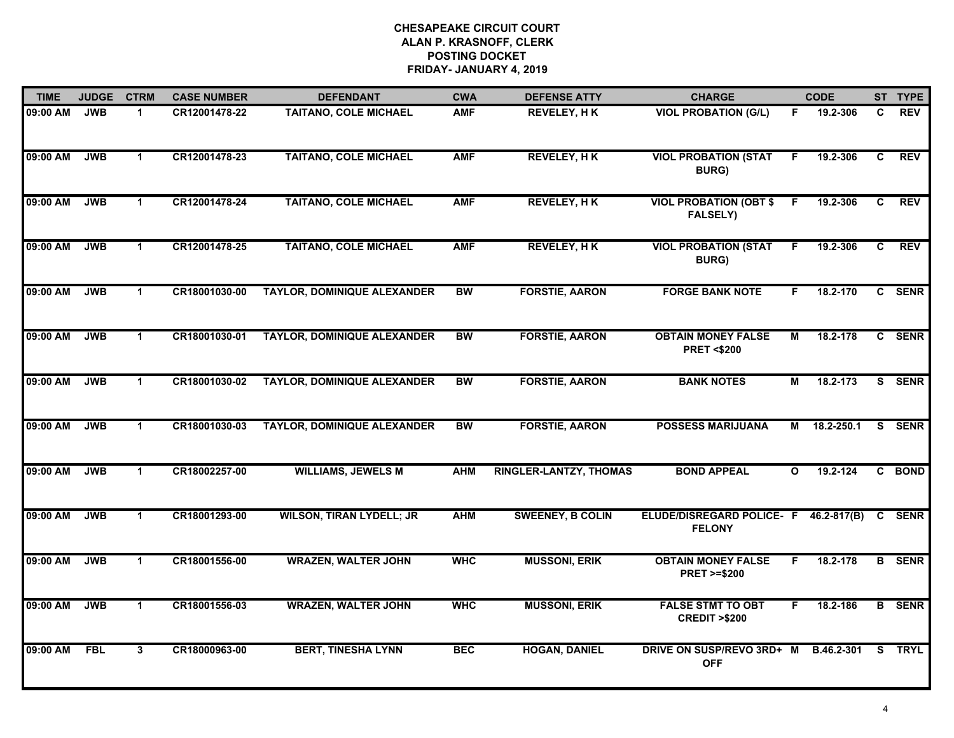| <b>TIME</b> | <b>JUDGE</b> | <b>CTRM</b>          | <b>CASE NUMBER</b> | <b>DEFENDANT</b>                   | <b>CWA</b> | <b>DEFENSE ATTY</b>           | <b>CHARGE</b>                                       |                | <b>CODE</b>     |    | ST TYPE       |
|-------------|--------------|----------------------|--------------------|------------------------------------|------------|-------------------------------|-----------------------------------------------------|----------------|-----------------|----|---------------|
| 09:00 AM    | <b>JWB</b>   | $\mathbf{1}$         | CR12001478-22      | <b>TAITANO, COLE MICHAEL</b>       | <b>AMF</b> | <b>REVELEY, HK</b>            | <b>VIOL PROBATION (G/L)</b>                         | F.             | 19.2-306        | C. | <b>REV</b>    |
| 09:00 AM    | <b>JWB</b>   | $\mathbf{1}$         | CR12001478-23      | <b>TAITANO, COLE MICHAEL</b>       | <b>AMF</b> | <b>REVELEY, HK</b>            | <b>VIOL PROBATION (STAT</b><br><b>BURG)</b>         | F.             | 19.2-306        | C  | <b>REV</b>    |
| 09:00 AM    | <b>JWB</b>   | $\blacktriangleleft$ | CR12001478-24      | <b>TAITANO, COLE MICHAEL</b>       | <b>AMF</b> | <b>REVELEY, HK</b>            | <b>VIOL PROBATION (OBT \$</b><br><b>FALSELY)</b>    | F              | 19.2-306        | C  | <b>REV</b>    |
| 09:00 AM    | <b>JWB</b>   | $\blacktriangleleft$ | CR12001478-25      | <b>TAITANO, COLE MICHAEL</b>       | <b>AMF</b> | <b>REVELEY, HK</b>            | <b>VIOL PROBATION (STAT</b><br><b>BURG)</b>         | F.             | 19.2-306        | C  | <b>REV</b>    |
| 09:00 AM    | <b>JWB</b>   | $\blacktriangleleft$ | CR18001030-00      | <b>TAYLOR, DOMINIQUE ALEXANDER</b> | <b>BW</b>  | <b>FORSTIE, AARON</b>         | <b>FORGE BANK NOTE</b>                              | F.             | 18.2-170        |    | C SENR        |
| 09:00 AM    | <b>JWB</b>   | $\blacktriangleleft$ | CR18001030-01      | <b>TAYLOR, DOMINIQUE ALEXANDER</b> | <b>BW</b>  | <b>FORSTIE, AARON</b>         | <b>OBTAIN MONEY FALSE</b><br><b>PRET &lt;\$200</b>  | М              | 18.2-178        |    | C SENR        |
| 09:00 AM    | <b>JWB</b>   | $\mathbf{1}$         | CR18001030-02      | <b>TAYLOR, DOMINIQUE ALEXANDER</b> | <b>BW</b>  | <b>FORSTIE, AARON</b>         | <b>BANK NOTES</b>                                   | $\overline{M}$ | 18.2-173        |    | S SENR        |
| 09:00 AM    | <b>JWB</b>   | $\mathbf 1$          | CR18001030-03      | <b>TAYLOR, DOMINIQUE ALEXANDER</b> | <b>BW</b>  | <b>FORSTIE, AARON</b>         | <b>POSSESS MARIJUANA</b>                            | М              | 18.2-250.1      |    | S SENR        |
| 09:00 AM    | <b>JWB</b>   | $\mathbf 1$          | CR18002257-00      | <b>WILLIAMS, JEWELS M</b>          | <b>AHM</b> | <b>RINGLER-LANTZY, THOMAS</b> | <b>BOND APPEAL</b>                                  | $\mathbf{o}$   | 19.2-124        |    | C BOND        |
| 09:00 AM    | <b>JWB</b>   | $\blacktriangleleft$ | CR18001293-00      | <b>WILSON, TIRAN LYDELL; JR</b>    | <b>AHM</b> | <b>SWEENEY, B COLIN</b>       | <b>ELUDE/DISREGARD POLICE- F</b><br><b>FELONY</b>   |                | $46.2 - 817(B)$ |    | C SENR        |
| 09:00 AM    | <b>JWB</b>   | $\mathbf 1$          | CR18001556-00      | <b>WRAZEN, WALTER JOHN</b>         | <b>WHC</b> | <b>MUSSONI, ERIK</b>          | <b>OBTAIN MONEY FALSE</b><br><b>PRET &gt;=\$200</b> | F.             | 18.2-178        |    | <b>B</b> SENR |
| 09:00 AM    | <b>JWB</b>   | $\mathbf 1$          | CR18001556-03      | <b>WRAZEN, WALTER JOHN</b>         | <b>WHC</b> | <b>MUSSONI, ERIK</b>          | <b>FALSE STMT TO OBT</b><br><b>CREDIT &gt;\$200</b> | F.             | 18.2-186        |    | <b>B</b> SENR |
| 09:00 AM    | <b>FBL</b>   | 3                    | CR18000963-00      | <b>BERT, TINESHA LYNN</b>          | <b>BEC</b> | <b>HOGAN, DANIEL</b>          | DRIVE ON SUSP/REVO 3RD+ M<br><b>OFF</b>             |                | B.46.2-301      | S. | <b>TRYL</b>   |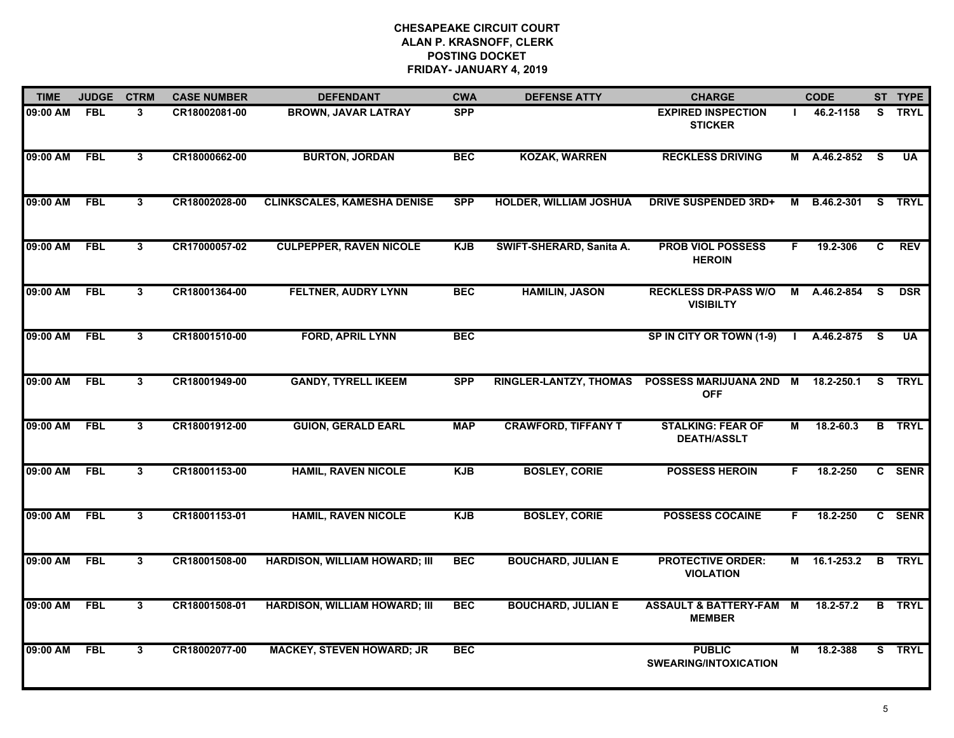| <b>TIME</b>  | <b>JUDGE</b> | <b>CTRM</b>  | <b>CASE NUMBER</b> | <b>DEFENDANT</b>                     | <b>CWA</b> | <b>DEFENSE ATTY</b>           | <b>CHARGE</b>                                     |                | <b>CODE</b>       |     | ST TYPE                 |
|--------------|--------------|--------------|--------------------|--------------------------------------|------------|-------------------------------|---------------------------------------------------|----------------|-------------------|-----|-------------------------|
| 09:00 AM     | <b>FBL</b>   | 3            | CR18002081-00      | <b>BROWN, JAVAR LATRAY</b>           | <b>SPP</b> |                               | <b>EXPIRED INSPECTION</b><br><b>STICKER</b>       |                | 46.2-1158         |     | S TRYL                  |
| 09:00 AM     | FBL          | 3            | CR18000662-00      | <b>BURTON, JORDAN</b>                | <b>BEC</b> | <b>KOZAK, WARREN</b>          | <b>RECKLESS DRIVING</b>                           |                | M A.46.2-852      | - S | $\overline{\mathsf{U}}$ |
| 09:00 AM     | <b>FBL</b>   | $\mathbf{3}$ | CR18002028-00      | <b>CLINKSCALES, KAMESHA DENISE</b>   | <b>SPP</b> | <b>HOLDER, WILLIAM JOSHUA</b> | <b>DRIVE SUSPENDED 3RD+</b>                       | М              | <b>B.46.2-301</b> |     | <b>S</b> TRYL           |
| 09:00 AM     | <b>FBL</b>   | 3            | CR17000057-02      | <b>CULPEPPER, RAVEN NICOLE</b>       | <b>KJB</b> | SWIFT-SHERARD, Sanita A.      | <b>PROB VIOL POSSESS</b><br><b>HEROIN</b>         | F.             | 19.2-306          | C   | <b>REV</b>              |
| 09:00 AM     | <b>FBL</b>   | 3            | CR18001364-00      | <b>FELTNER, AUDRY LYNN</b>           | <b>BEC</b> | <b>HAMILIN, JASON</b>         | <b>RECKLESS DR-PASS W/O</b><br><b>VISIBILTY</b>   | M              | A.46.2-854        | S.  | <b>DSR</b>              |
| 09:00 AM FBL |              | 3            | CR18001510-00      | <b>FORD, APRIL LYNN</b>              | <b>BEC</b> |                               | SP IN CITY OR TOWN (1-9)                          |                | I A.46.2-875 S    |     | <b>UA</b>               |
| 09:00 AM     | FBL          | $\mathbf{3}$ | CR18001949-00      | <b>GANDY, TYRELL IKEEM</b>           | <b>SPP</b> | <b>RINGLER-LANTZY, THOMAS</b> | POSSESS MARIJUANA 2ND<br><b>OFF</b>               | <b>M</b>       | 18.2-250.1        |     | S TRYL                  |
| 09:00 AM     | <b>FBL</b>   | 3            | CR18001912-00      | <b>GUION, GERALD EARL</b>            | <b>MAP</b> | <b>CRAWFORD, TIFFANY T</b>    | <b>STALKING: FEAR OF</b><br><b>DEATH/ASSLT</b>    | М              | 18.2-60.3         |     | <b>B</b> TRYL           |
| 09:00 AM     | <b>FBL</b>   | 3            | CR18001153-00      | <b>HAMIL, RAVEN NICOLE</b>           | <b>KJB</b> | <b>BOSLEY, CORIE</b>          | <b>POSSESS HEROIN</b>                             | F.             | 18.2-250          |     | C SENR                  |
| 09:00 AM     | <b>FBL</b>   | 3            | CR18001153-01      | <b>HAMIL, RAVEN NICOLE</b>           | <b>KJB</b> | <b>BOSLEY, CORIE</b>          | <b>POSSESS COCAINE</b>                            | F.             | 18.2-250          |     | C SENR                  |
| 09:00 AM     | FBL          | 3            | CR18001508-00      | <b>HARDISON, WILLIAM HOWARD; III</b> | <b>BEC</b> | <b>BOUCHARD, JULIAN E</b>     | <b>PROTECTIVE ORDER:</b><br><b>VIOLATION</b>      |                | M 16.1-253.2      |     | <b>B</b> TRYL           |
| 09:00 AM     | <b>FBL</b>   | 3            | CR18001508-01      | <b>HARDISON, WILLIAM HOWARD; III</b> | <b>BEC</b> | <b>BOUCHARD, JULIAN E</b>     | <b>ASSAULT &amp; BATTERY-FAM</b><br><b>MEMBER</b> | $\overline{M}$ | $18.2 - 57.2$     |     | <b>B</b> TRYL           |
| 09:00 AM     | <b>FBL</b>   | 3            | CR18002077-00      | <b>MACKEY, STEVEN HOWARD; JR</b>     | <b>BEC</b> |                               | <b>PUBLIC</b><br><b>SWEARING/INTOXICATION</b>     | М              | 18.2-388          |     | S TRYL                  |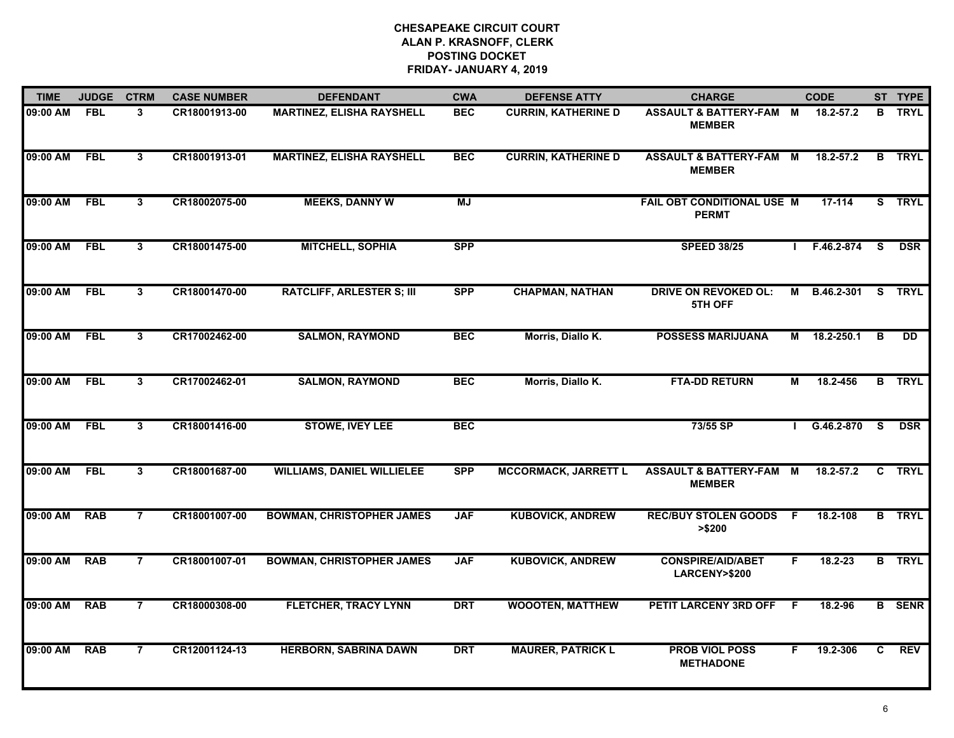| <b>TIME</b>  | <b>JUDGE</b> | <b>CTRM</b>    | <b>CASE NUMBER</b> | <b>DEFENDANT</b>                  | <b>CWA</b> | <b>DEFENSE ATTY</b>         | <b>CHARGE</b>                                       |    | <b>CODE</b>  |              | ST TYPE       |
|--------------|--------------|----------------|--------------------|-----------------------------------|------------|-----------------------------|-----------------------------------------------------|----|--------------|--------------|---------------|
| 09:00 AM     | <b>FBL</b>   | 3              | CR18001913-00      | <b>MARTINEZ, ELISHA RAYSHELL</b>  | <b>BEC</b> | <b>CURRIN, KATHERINE D</b>  | ASSAULT & BATTERY-FAM M<br><b>MEMBER</b>            |    | 18.2-57.2    |              | <b>B</b> TRYL |
| 09:00 AM     | FBL          | 3              | CR18001913-01      | <b>MARTINEZ, ELISHA RAYSHELL</b>  | <b>BEC</b> | <b>CURRIN, KATHERINE D</b>  | <b>ASSAULT &amp; BATTERY-FAM M</b><br><b>MEMBER</b> |    | 18.2-57.2    | $\mathbf{B}$ | TRYL          |
| 09:00 AM     | <b>FBL</b>   | $\mathbf{3}$   | CR18002075-00      | <b>MEEKS, DANNY W</b>             | <b>MJ</b>  |                             | FAIL OBT CONDITIONAL USE M<br><b>PERMT</b>          |    | 17-114       |              | S TRYL        |
| 09:00 AM     | <b>FBL</b>   | 3              | CR18001475-00      | <b>MITCHELL, SOPHIA</b>           | <b>SPP</b> |                             | <b>SPEED 38/25</b>                                  |    | F.46.2-874   | - S          | <b>DSR</b>    |
| 09:00 AM     | <b>FBL</b>   | 3              | CR18001470-00      | <b>RATCLIFF, ARLESTER S; III</b>  | <b>SPP</b> | <b>CHAPMAN, NATHAN</b>      | <b>DRIVE ON REVOKED OL:</b><br>5TH OFF              | M  | B.46.2-301   | S.           | <b>TRYL</b>   |
| 09:00 AM FBL |              | 3              | CR17002462-00      | <b>SALMON, RAYMOND</b>            | <b>BEC</b> | Morris, Diallo K.           | <b>POSSESS MARIJUANA</b>                            |    | M 18.2-250.1 | B            | <b>DD</b>     |
| 09:00 AM     | FBL          | 3              | CR17002462-01      | <b>SALMON, RAYMOND</b>            | <b>BEC</b> | Morris, Diallo K.           | <b>FTA-DD RETURN</b>                                | М  | 18.2-456     |              | <b>B</b> TRYL |
| 09:00 AM     | <b>FBL</b>   | $\mathbf{3}$   | CR18001416-00      | <b>STOWE, IVEY LEE</b>            | <b>BEC</b> |                             | 73/55 SP                                            |    | G.46.2-870 S |              | <b>DSR</b>    |
| 09:00 AM     | <b>FBL</b>   | 3              | CR18001687-00      | <b>WILLIAMS, DANIEL WILLIELEE</b> | <b>SPP</b> | <b>MCCORMACK, JARRETT L</b> | <b>ASSAULT &amp; BATTERY-FAM M</b><br><b>MEMBER</b> |    | 18.2-57.2    |              | C TRYL        |
| 09:00 AM     | <b>RAB</b>   | $\overline{7}$ | CR18001007-00      | <b>BOWMAN, CHRISTOPHER JAMES</b>  | <b>JAF</b> | <b>KUBOVICK, ANDREW</b>     | <b>REC/BUY STOLEN GOODS</b><br>> \$200              | F. | 18.2-108     |              | <b>B</b> TRYL |
| 09:00 AM     | <b>RAB</b>   | $\overline{7}$ | CR18001007-01      | <b>BOWMAN, CHRISTOPHER JAMES</b>  | <b>JAF</b> | <b>KUBOVICK, ANDREW</b>     | <b>CONSPIRE/AID/ABET</b><br>LARCENY>\$200           | F. | 18.2-23      |              | <b>B</b> TRYL |
| 09:00 AM     | <b>RAB</b>   | $\overline{7}$ | CR18000308-00      | <b>FLETCHER, TRACY LYNN</b>       | <b>DRT</b> | <b>WOOOTEN, MATTHEW</b>     | PETIT LARCENY 3RD OFF                               | F. | 18.2-96      |              | <b>B</b> SENR |
| 09:00 AM     | <b>RAB</b>   | $\overline{7}$ | CR12001124-13      | <b>HERBORN, SABRINA DAWN</b>      | <b>DRT</b> | <b>MAURER, PATRICK L</b>    | <b>PROB VIOL POSS</b><br><b>METHADONE</b>           | F. | 19.2-306     | C.           | <b>REV</b>    |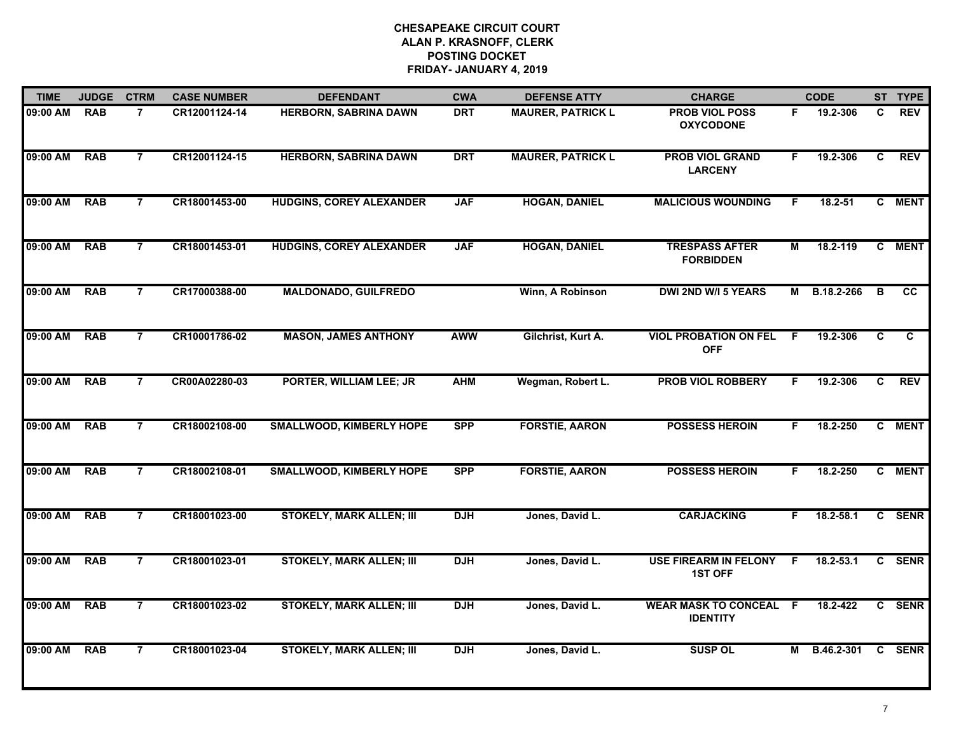| <b>TIME</b> | <b>JUDGE</b> | <b>CTRM</b>    | <b>CASE NUMBER</b> | <b>DEFENDANT</b>                | <b>CWA</b> | <b>DEFENSE ATTY</b>      | <b>CHARGE</b>                                    |     | <b>CODE</b>   |                | ST TYPE     |
|-------------|--------------|----------------|--------------------|---------------------------------|------------|--------------------------|--------------------------------------------------|-----|---------------|----------------|-------------|
| 09:00 AM    | <b>RAB</b>   | $\overline{7}$ | CR12001124-14      | <b>HERBORN, SABRINA DAWN</b>    | <b>DRT</b> | <b>MAURER, PATRICK L</b> | <b>PROB VIOL POSS</b><br><b>OXYCODONE</b>        | F.  | 19.2-306      | C.             | <b>REV</b>  |
| 09:00 AM    | <b>RAB</b>   | $\overline{7}$ | CR12001124-15      | <b>HERBORN, SABRINA DAWN</b>    | <b>DRT</b> | <b>MAURER, PATRICK L</b> | <b>PROB VIOL GRAND</b><br><b>LARCENY</b>         | F   | 19.2-306      | C              | <b>REV</b>  |
| 09:00 AM    | <b>RAB</b>   | $\overline{7}$ | CR18001453-00      | <b>HUDGINS, COREY ALEXANDER</b> | <b>JAF</b> | <b>HOGAN, DANIEL</b>     | <b>MALICIOUS WOUNDING</b>                        | F.  | $18.2 - 51$   |                | C MENT      |
| 09:00 AM    | <b>RAB</b>   | $\overline{7}$ | CR18001453-01      | <b>HUDGINS, COREY ALEXANDER</b> | <b>JAF</b> | <b>HOGAN, DANIEL</b>     | <b>TRESPASS AFTER</b><br><b>FORBIDDEN</b>        | М   | 18.2-119      |                | C MENT      |
| 09:00 AM    | <b>RAB</b>   | $\overline{7}$ | CR17000388-00      | <b>MALDONADO, GUILFREDO</b>     |            | Winn, A Robinson         | <b>DWI 2ND W/I 5 YEARS</b>                       |     | M B.18.2-266  | В              | <b>CC</b>   |
| 09:00 AM    | <b>RAB</b>   | $\overline{7}$ | CR10001786-02      | <b>MASON, JAMES ANTHONY</b>     | <b>AWW</b> | Gilchrist, Kurt A.       | <b>VIOL PROBATION ON FEL</b><br><b>OFF</b>       | -F  | 19.2-306      | C              | C           |
| 09:00 AM    | <b>RAB</b>   | $\overline{7}$ | CR00A02280-03      | PORTER, WILLIAM LEE; JR         | <b>AHM</b> | Wegman, Robert L.        | <b>PROB VIOL ROBBERY</b>                         | F.  | 19.2-306      | C              | <b>REV</b>  |
| 09:00 AM    | <b>RAB</b>   | $\overline{7}$ | CR18002108-00      | <b>SMALLWOOD, KIMBERLY HOPE</b> | <b>SPP</b> | <b>FORSTIE, AARON</b>    | <b>POSSESS HEROIN</b>                            | F.  | 18.2-250      |                | C MENT      |
| 09:00 AM    | <b>RAB</b>   | $\overline{7}$ | CR18002108-01      | <b>SMALLWOOD, KIMBERLY HOPE</b> | <b>SPP</b> | <b>FORSTIE, AARON</b>    | <b>POSSESS HEROIN</b>                            | F.  | 18.2-250      | C.             | <b>MENT</b> |
| 09:00 AM    | <b>RAB</b>   | $\overline{7}$ | CR18001023-00      | <b>STOKELY, MARK ALLEN; III</b> | <b>DJH</b> | Jones, David L.          | <b>CARJACKING</b>                                | F.  | 18.2-58.1     |                | C SENR      |
| 09:00 AM    | <b>RAB</b>   | $\overline{7}$ | CR18001023-01      | <b>STOKELY, MARK ALLEN; III</b> | <b>DJH</b> | Jones, David L.          | <b>USE FIREARM IN FELONY</b><br><b>1ST OFF</b>   | - F | $18.2 - 53.1$ |                | C SENR      |
| 09:00 AM    | <b>RAB</b>   | $\overline{7}$ | CR18001023-02      | <b>STOKELY, MARK ALLEN; III</b> | <b>DJH</b> | Jones, David L.          | <b>WEAR MASK TO CONCEAL F</b><br><b>IDENTITY</b> |     | 18.2-422      | $\overline{c}$ | <b>SENR</b> |
| 09:00 AM    | <b>RAB</b>   | $\overline{7}$ | CR18001023-04      | <b>STOKELY, MARK ALLEN; III</b> | <b>DJH</b> | Jones, David L.          | <b>SUSP OL</b>                                   |     | M B.46.2-301  |                | C SENR      |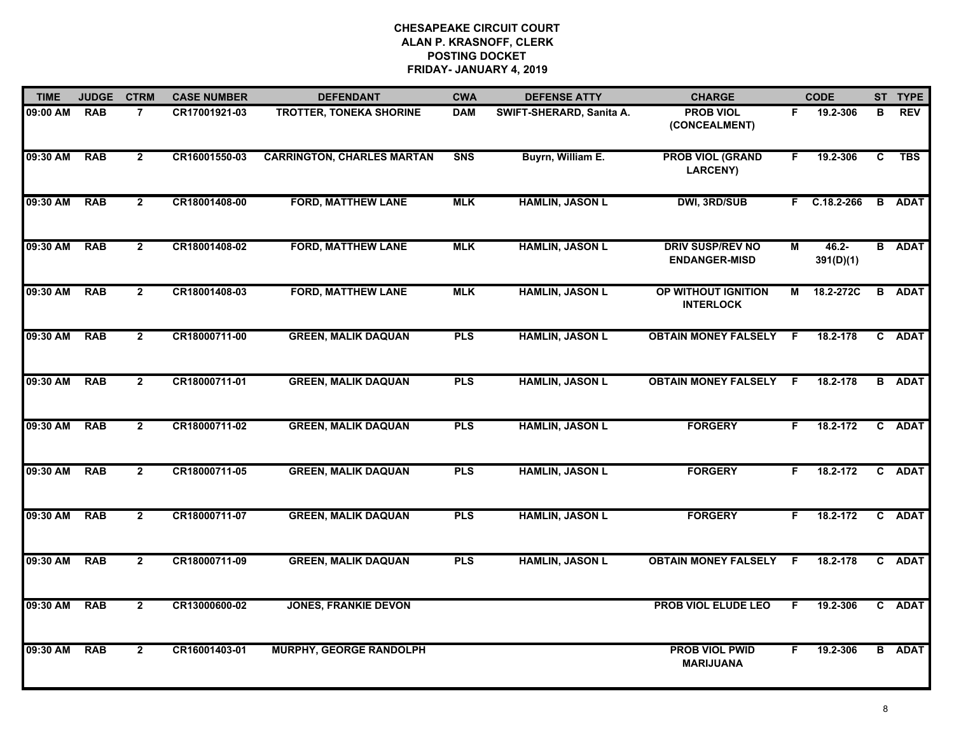| <b>TIME</b>  | <b>JUDGE</b> | <b>CTRM</b>    | <b>CASE NUMBER</b> | <b>DEFENDANT</b>                  | <b>CWA</b> | <b>DEFENSE ATTY</b>      | <b>CHARGE</b>                                   |    | <b>CODE</b>           |   | ST TYPE       |
|--------------|--------------|----------------|--------------------|-----------------------------------|------------|--------------------------|-------------------------------------------------|----|-----------------------|---|---------------|
| 09:00 AM     | <b>RAB</b>   | $\overline{7}$ | CR17001921-03      | <b>TROTTER, TONEKA SHORINE</b>    | <b>DAM</b> | SWIFT-SHERARD, Sanita A. | <b>PROB VIOL</b><br>(CONCEALMENT)               | F. | 19.2-306              | в | <b>REV</b>    |
| 09:30 AM     | <b>RAB</b>   | $\overline{2}$ | CR16001550-03      | <b>CARRINGTON, CHARLES MARTAN</b> | <b>SNS</b> | Buyrn, William E.        | <b>PROB VIOL (GRAND</b><br><b>LARCENY)</b>      | F. | 19.2-306              | C | <b>TBS</b>    |
| 09:30 AM     | <b>RAB</b>   | $\mathbf{2}$   | CR18001408-00      | <b>FORD, MATTHEW LANE</b>         | <b>MLK</b> | <b>HAMLIN, JASON L</b>   | <b>DWI, 3RD/SUB</b>                             |    | $F$ C.18.2-266        |   | <b>B</b> ADAT |
| 09:30 AM     | <b>RAB</b>   | $\overline{2}$ | CR18001408-02      | <b>FORD, MATTHEW LANE</b>         | <b>MLK</b> | <b>HAMLIN, JASON L</b>   | <b>DRIV SUSP/REV NO</b><br><b>ENDANGER-MISD</b> | М  | $46.2 -$<br>391(D)(1) |   | <b>B</b> ADAT |
| 09:30 AM     | <b>RAB</b>   | $\overline{2}$ | CR18001408-03      | <b>FORD, MATTHEW LANE</b>         | <b>MLK</b> | <b>HAMLIN, JASON L</b>   | OP WITHOUT IGNITION<br><b>INTERLOCK</b>         | М  | 18.2-272C             |   | <b>B</b> ADAT |
| 09:30 AM RAB |              | $\mathbf{2}$   | CR18000711-00      | <b>GREEN, MALIK DAQUAN</b>        | <b>PLS</b> | <b>HAMLIN, JASON L</b>   | <b>OBTAIN MONEY FALSELY F</b>                   |    | 18.2-178              |   | C ADAT        |
| 09:30 AM     | <b>RAB</b>   | $\overline{2}$ | CR18000711-01      | <b>GREEN, MALIK DAQUAN</b>        | <b>PLS</b> | <b>HAMLIN, JASON L</b>   | <b>OBTAIN MONEY FALSELY F</b>                   |    | 18.2-178              |   | <b>B</b> ADAT |
| 09:30 AM     | <b>RAB</b>   | $\overline{2}$ | CR18000711-02      | <b>GREEN, MALIK DAQUAN</b>        | <b>PLS</b> | <b>HAMLIN, JASON L</b>   | <b>FORGERY</b>                                  | F. | 18.2-172              |   | C ADAT        |
| 09:30 AM     | <b>RAB</b>   | $\mathbf{2}$   | CR18000711-05      | <b>GREEN, MALIK DAQUAN</b>        | <b>PLS</b> | <b>HAMLIN, JASON L</b>   | <b>FORGERY</b>                                  | F. | 18.2-172              |   | C ADAT        |
| 09:30 AM     | <b>RAB</b>   | $\overline{2}$ | CR18000711-07      | <b>GREEN, MALIK DAQUAN</b>        | <b>PLS</b> | <b>HAMLIN, JASON L</b>   | <b>FORGERY</b>                                  | F. | 18.2-172              |   | C ADAT        |
| 09:30 AM     | <b>RAB</b>   | $\mathbf{2}$   | CR18000711-09      | <b>GREEN, MALIK DAQUAN</b>        | <b>PLS</b> | <b>HAMLIN, JASON L</b>   | <b>OBTAIN MONEY FALSELY F</b>                   |    | 18.2-178              | C | <b>ADAT</b>   |
| 09:30 AM     | <b>RAB</b>   | $\overline{2}$ | CR13000600-02      | <b>JONES, FRANKIE DEVON</b>       |            |                          | PROB VIOL ELUDE LEO                             | F. | 19.2-306              |   | C ADAT        |
| 09:30 AM     | <b>RAB</b>   | $\overline{2}$ | CR16001403-01      | <b>MURPHY, GEORGE RANDOLPH</b>    |            |                          | <b>PROB VIOL PWID</b><br><b>MARIJUANA</b>       | F. | 19.2-306              |   | <b>B</b> ADAT |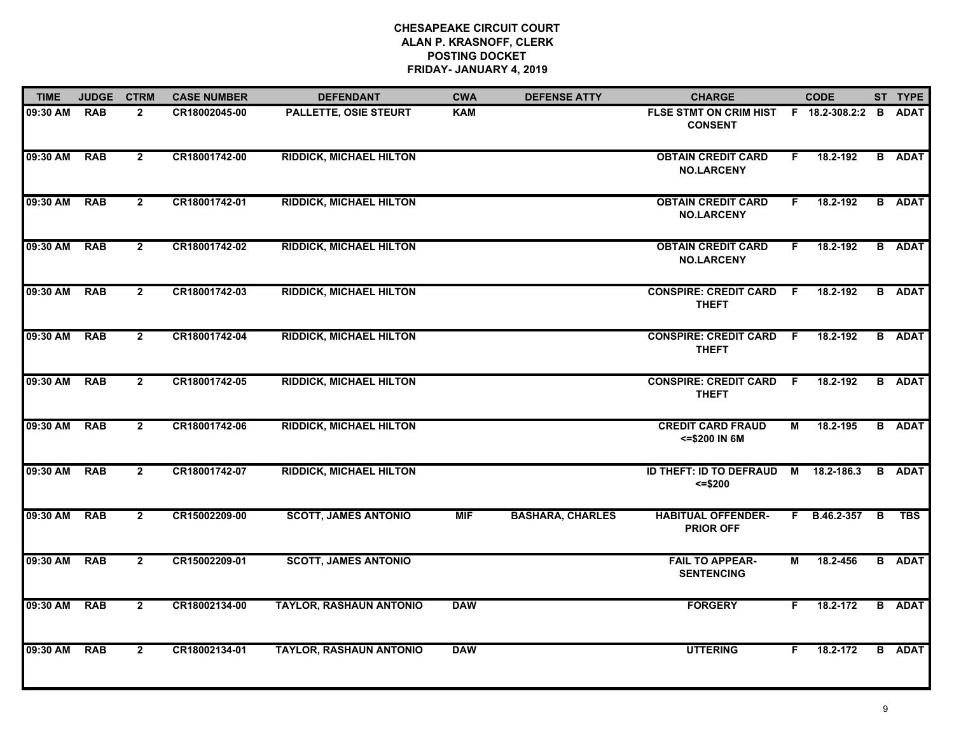| <b>TIME</b> | <b>JUDGE</b> | <b>CTRM</b>    | <b>CASE NUMBER</b> | <b>DEFENDANT</b>               | <b>CWA</b> | <b>DEFENSE ATTY</b>     | <b>CHARGE</b>                                           |                | <b>CODE</b>  |   | ST TYPE       |
|-------------|--------------|----------------|--------------------|--------------------------------|------------|-------------------------|---------------------------------------------------------|----------------|--------------|---|---------------|
| 09:30 AM    | <b>RAB</b>   | $\overline{2}$ | CR18002045-00      | <b>PALLETTE, OSIE STEURT</b>   | <b>KAM</b> |                         | FLSE STMT ON CRIM HIST F 18.2-308.2:2<br><b>CONSENT</b> |                |              | B | <b>ADAT</b>   |
| 09:30 AM    | <b>RAB</b>   | $\overline{2}$ | CR18001742-00      | <b>RIDDICK, MICHAEL HILTON</b> |            |                         | <b>OBTAIN CREDIT CARD</b><br><b>NO.LARCENY</b>          | F.             | 18.2-192     |   | <b>B</b> ADAT |
| 09:30 AM    | <b>RAB</b>   | $\overline{2}$ | CR18001742-01      | <b>RIDDICK, MICHAEL HILTON</b> |            |                         | <b>OBTAIN CREDIT CARD</b><br><b>NO.LARCENY</b>          | F.             | 18.2-192     |   | <b>B</b> ADAT |
| 09:30 AM    | <b>RAB</b>   | $\overline{2}$ | CR18001742-02      | <b>RIDDICK, MICHAEL HILTON</b> |            |                         | <b>OBTAIN CREDIT CARD</b><br><b>NO.LARCENY</b>          | F.             | 18.2-192     |   | <b>B</b> ADAT |
| 09:30 AM    | <b>RAB</b>   | $\overline{2}$ | CR18001742-03      | <b>RIDDICK, MICHAEL HILTON</b> |            |                         | <b>CONSPIRE: CREDIT CARD</b><br><b>THEFT</b>            | F.             | 18.2-192     |   | <b>B</b> ADAT |
| 09:30 AM    | <b>RAB</b>   | $\overline{2}$ | CR18001742-04      | <b>RIDDICK, MICHAEL HILTON</b> |            |                         | <b>CONSPIRE: CREDIT CARD F</b><br><b>THEFT</b>          |                | 18.2-192     |   | <b>B</b> ADAT |
| 09:30 AM    | <b>RAB</b>   | $\overline{2}$ | CR18001742-05      | <b>RIDDICK, MICHAEL HILTON</b> |            |                         | <b>CONSPIRE: CREDIT CARD</b><br><b>THEFT</b>            | - F            | 18.2-192     |   | <b>B</b> ADAT |
| 09:30 AM    | <b>RAB</b>   | $\overline{2}$ | CR18001742-06      | <b>RIDDICK, MICHAEL HILTON</b> |            |                         | <b>CREDIT CARD FRAUD</b><br><= \$200 IN 6M              | $\overline{M}$ | 18.2-195     |   | <b>B</b> ADAT |
| 09:30 AM    | <b>RAB</b>   | $\overline{2}$ | CR18001742-07      | <b>RIDDICK, MICHAEL HILTON</b> |            |                         | ID THEFT: ID TO DEFRAUD<br>$= $200$                     | M              | 18.2-186.3   |   | <b>B</b> ADAT |
| 09:30 AM    | <b>RAB</b>   | $\overline{2}$ | CR15002209-00      | <b>SCOTT, JAMES ANTONIO</b>    | <b>MIF</b> | <b>BASHARA, CHARLES</b> | <b>HABITUAL OFFENDER-</b><br><b>PRIOR OFF</b>           |                | F B.46.2-357 | B | <b>TBS</b>    |
| 09:30 AM    | <b>RAB</b>   | $\mathbf{2}$   | CR15002209-01      | <b>SCOTT, JAMES ANTONIO</b>    |            |                         | <b>FAIL TO APPEAR-</b><br><b>SENTENCING</b>             | М              | 18.2-456     |   | <b>B</b> ADAT |
| 09:30 AM    | <b>RAB</b>   | $\overline{2}$ | CR18002134-00      | <b>TAYLOR, RASHAUN ANTONIO</b> | <b>DAW</b> |                         | <b>FORGERY</b>                                          | F.             | 18.2-172     |   | <b>B</b> ADAT |
| 09:30 AM    | <b>RAB</b>   | $\overline{2}$ | CR18002134-01      | <b>TAYLOR, RASHAUN ANTONIO</b> | <b>DAW</b> |                         | <b>UTTERING</b>                                         | F.             | 18.2-172     |   | <b>B</b> ADAT |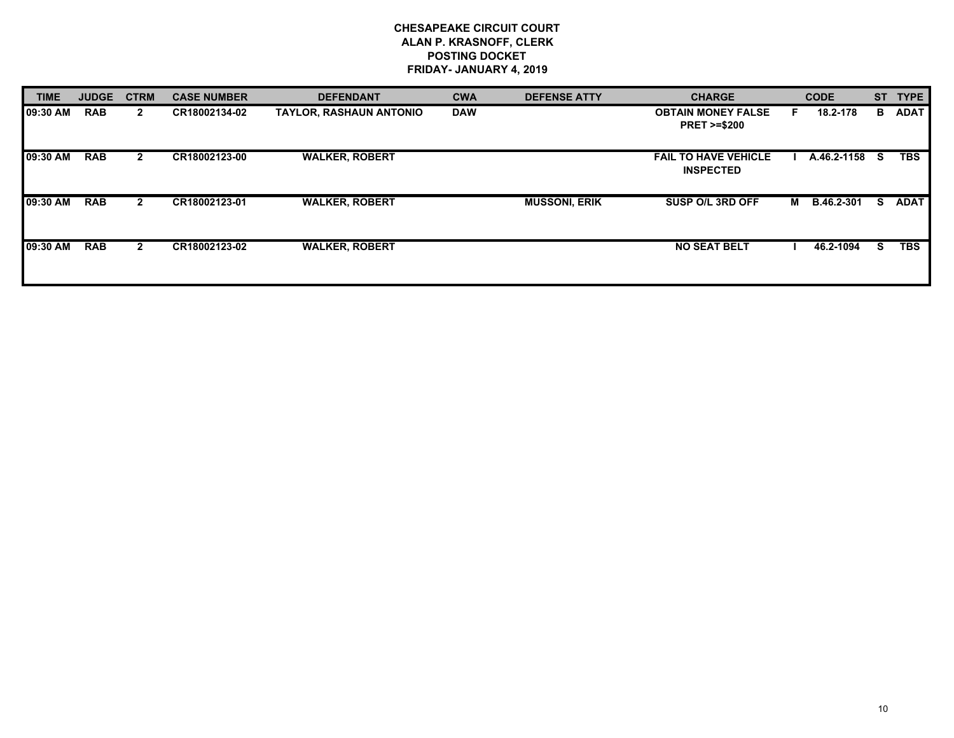| <b>TIME</b> | <b>JUDGE</b> | <b>CTRM</b>  | <b>CASE NUMBER</b> | <b>DEFENDANT</b>               | <b>CWA</b> | <b>DEFENSE ATTY</b>  | <b>CHARGE</b>                                       |   | <b>CODE</b>       |    | ST TYPE     |
|-------------|--------------|--------------|--------------------|--------------------------------|------------|----------------------|-----------------------------------------------------|---|-------------------|----|-------------|
| 09:30 AM    | <b>RAB</b>   | $\mathbf{2}$ | CR18002134-02      | <b>TAYLOR, RASHAUN ANTONIO</b> | <b>DAW</b> |                      | <b>OBTAIN MONEY FALSE</b><br><b>PRET &gt;=\$200</b> |   | 18.2-178          | в. | <b>ADAT</b> |
| 09:30 AM    | <b>RAB</b>   | $\mathbf{2}$ | CR18002123-00      | <b>WALKER, ROBERT</b>          |            |                      | <b>FAIL TO HAVE VEHICLE</b><br><b>INSPECTED</b>     |   | A.46.2-1158       | S. | <b>TBS</b>  |
| 09:30 AM    | <b>RAB</b>   | $\mathbf{2}$ | CR18002123-01      | <b>WALKER, ROBERT</b>          |            | <b>MUSSONI, ERIK</b> | SUSP O/L 3RD OFF                                    | м | <b>B.46.2-301</b> | s  | <b>ADAT</b> |
| 09:30 AM    | <b>RAB</b>   | $\mathbf{2}$ | CR18002123-02      | <b>WALKER, ROBERT</b>          |            |                      | <b>NO SEAT BELT</b>                                 |   | 46.2-1094         | S. | <b>TBS</b>  |